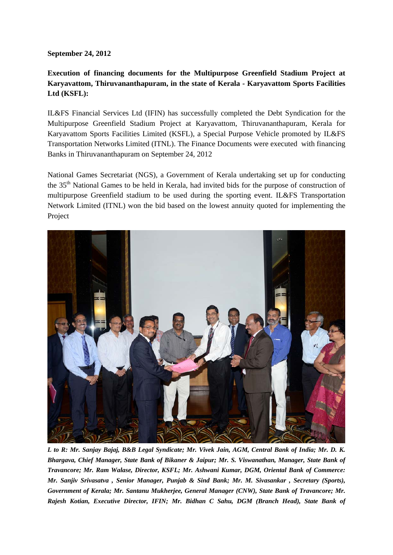## **September 24, 2012**

## **Execution of financing documents for the Multipurpose Greenfield Stadium Project at Karyavattom, Thiruvananthapuram, in the state of Kerala - Karyavattom Sports Facilities Ltd (KSFL):**

IL&FS Financial Services Ltd (IFIN) has successfully completed the Debt Syndication for the Multipurpose Greenfield Stadium Project at Karyavattom, Thiruvananthapuram, Kerala for Karyavattom Sports Facilities Limited (KSFL), a Special Purpose Vehicle promoted by IL&FS Transportation Networks Limited (ITNL). The Finance Documents were executed with financing Banks in Thiruvananthapuram on September 24, 2012

National Games Secretariat (NGS), a Government of Kerala undertaking set up for conducting the 35th National Games to be held in Kerala, had invited bids for the purpose of construction of multipurpose Greenfield stadium to be used during the sporting event. IL&FS Transportation Network Limited (ITNL) won the bid based on the lowest annuity quoted for implementing the Project



*L to R: Mr. Sanjay Bajaj, B&B Legal Syndicate; Mr. Vivek Jain, AGM, Central Bank of India; Mr. D. K. Bhargava, Chief Manager, State Bank of Bikaner & Jaipur; Mr. S. Viswanathan, Manager, State Bank of Travancore; Mr. Ram Walase, Director, KSFL; Mr. Ashwani Kumar, DGM, Oriental Bank of Commerce: Mr. Sanjiv Srivasatva , Senior Manager, Punjab & Sind Bank; Mr. M. Sivasankar , Secretary (Sports), Government of Kerala; Mr. Santanu Mukherjee, General Manager (CNW), State Bank of Travancore; Mr. Rajesh Kotian, Executive Director, IFIN; Mr. Bidhan C Sahu, DGM (Branch Head), State Bank of*